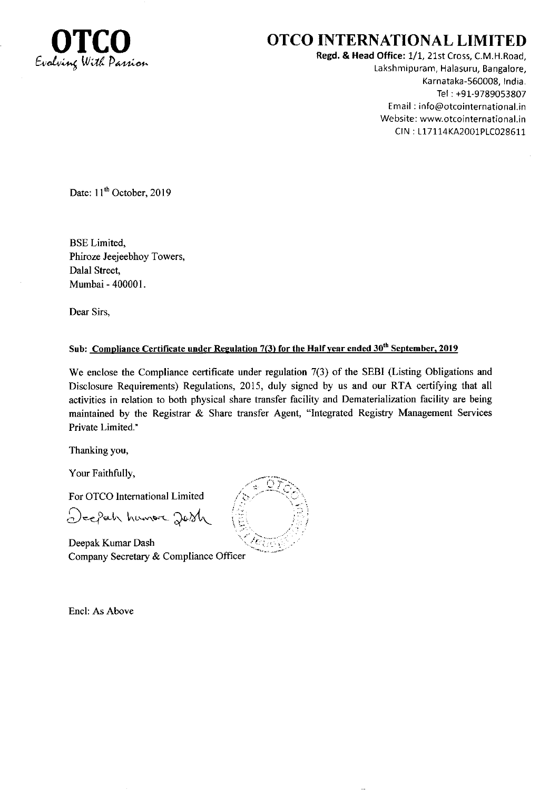

## OTCO INTERNATIONAL LIMITED

Regd. & Head Office: 1/1, 21st Cross, C.M.H.Road, Lakshmipuram, Halasuru, Bangalore, Karnataka-560008, India. Tel : +91-9789053807 Email ; info@otcointernational.in Website: www.otcointernational.in CIN : 117114KA2001P1C028511

Date: 11<sup>th</sup> October, 2019

BSE Limited, Phiroze Jeejeebhoy Towers, Dalal Street, Mumbai - 400001.

Dear Sirs,

## Sub: Compliance Certificate under Regulation 7(3) for the Half year ended 30<sup>th</sup> September, 2019

We enclose the Compliance certificate under regulation 7(3) of the SEBI (Listing Obligations and Disclosure Requirements) Regulations, 2015, duly signed by us and our RTA certifying that all activities in relation to both physical share transfer facility and Dematerialization faciliry are being maintained by the Registrar & Share transfer Agent, "Integrated Registry Management Services Private Limited."

Thanking you,

Your Faithfully,

For OTCO Intemational Limited

Deepah humore Jobh

Deepak Kumar Dash Company Secretary & Compliance Officer

Encl: As Above